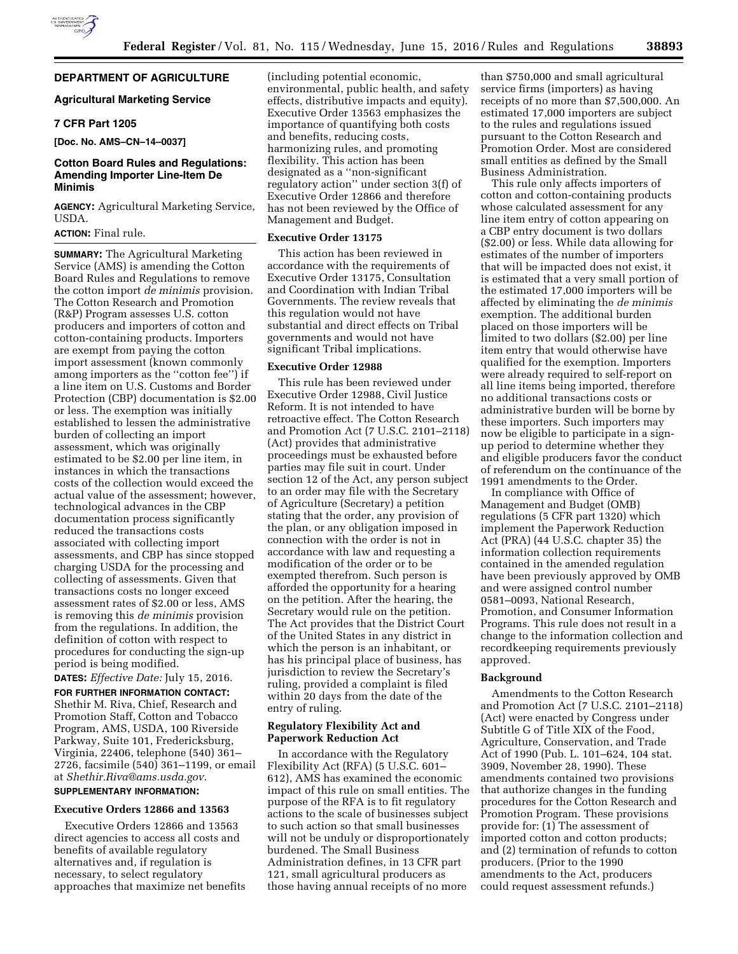# **DEPARTMENT OF AGRICULTURE**

# **Agricultural Marketing Service**

### **7 CFR Part 1205**

**[Doc. No. AMS–CN–14–0037]** 

# **Cotton Board Rules and Regulations: Amending Importer Line-Item De Minimis**

**AGENCY:** Agricultural Marketing Service, USDA.

# **ACTION:** Final rule.

**SUMMARY:** The Agricultural Marketing Service (AMS) is amending the Cotton Board Rules and Regulations to remove the cotton import *de minimis* provision. The Cotton Research and Promotion (R&P) Program assesses U.S. cotton producers and importers of cotton and cotton-containing products. Importers are exempt from paying the cotton import assessment (known commonly among importers as the ''cotton fee'') if a line item on U.S. Customs and Border Protection (CBP) documentation is \$2.00 or less. The exemption was initially established to lessen the administrative burden of collecting an import assessment, which was originally estimated to be \$2.00 per line item, in instances in which the transactions costs of the collection would exceed the actual value of the assessment; however, technological advances in the CBP documentation process significantly reduced the transactions costs associated with collecting import assessments, and CBP has since stopped charging USDA for the processing and collecting of assessments. Given that transactions costs no longer exceed assessment rates of \$2.00 or less, AMS is removing this *de minimis* provision from the regulations. In addition, the definition of cotton with respect to procedures for conducting the sign-up period is being modified.

# **DATES:** *Effective Date:* July 15, 2016.

**FOR FURTHER INFORMATION CONTACT:**  Shethir M. Riva, Chief, Research and Promotion Staff, Cotton and Tobacco Program, AMS, USDA, 100 Riverside Parkway, Suite 101, Fredericksburg, Virginia, 22406, telephone (540) 361– 2726, facsimile (540) 361–1199, or email at *[Shethir.Riva@ams.usda.gov](mailto:Shethir.Riva@ams.usda.gov)*.

## **SUPPLEMENTARY INFORMATION:**

# **Executive Orders 12866 and 13563**

Executive Orders 12866 and 13563 direct agencies to access all costs and benefits of available regulatory alternatives and, if regulation is necessary, to select regulatory approaches that maximize net benefits

(including potential economic, environmental, public health, and safety effects, distributive impacts and equity). Executive Order 13563 emphasizes the importance of quantifying both costs and benefits, reducing costs, harmonizing rules, and promoting flexibility. This action has been designated as a ''non-significant regulatory action'' under section 3(f) of Executive Order 12866 and therefore has not been reviewed by the Office of Management and Budget.

#### **Executive Order 13175**

This action has been reviewed in accordance with the requirements of Executive Order 13175, Consultation and Coordination with Indian Tribal Governments. The review reveals that this regulation would not have substantial and direct effects on Tribal governments and would not have significant Tribal implications.

#### **Executive Order 12988**

This rule has been reviewed under Executive Order 12988, Civil Justice Reform. It is not intended to have retroactive effect. The Cotton Research and Promotion Act (7 U.S.C. 2101–2118) (Act) provides that administrative proceedings must be exhausted before parties may file suit in court. Under section 12 of the Act, any person subject to an order may file with the Secretary of Agriculture (Secretary) a petition stating that the order, any provision of the plan, or any obligation imposed in connection with the order is not in accordance with law and requesting a modification of the order or to be exempted therefrom. Such person is afforded the opportunity for a hearing on the petition. After the hearing, the Secretary would rule on the petition. The Act provides that the District Court of the United States in any district in which the person is an inhabitant, or has his principal place of business, has jurisdiction to review the Secretary's ruling, provided a complaint is filed within 20 days from the date of the entry of ruling.

## **Regulatory Flexibility Act and Paperwork Reduction Act**

In accordance with the Regulatory Flexibility Act (RFA) (5 U.S.C. 601– 612), AMS has examined the economic impact of this rule on small entities. The purpose of the RFA is to fit regulatory actions to the scale of businesses subject to such action so that small businesses will not be unduly or disproportionately burdened. The Small Business Administration defines, in 13 CFR part 121, small agricultural producers as those having annual receipts of no more

than \$750,000 and small agricultural service firms (importers) as having receipts of no more than \$7,500,000. An estimated 17,000 importers are subject to the rules and regulations issued pursuant to the Cotton Research and Promotion Order. Most are considered small entities as defined by the Small Business Administration.

This rule only affects importers of cotton and cotton-containing products whose calculated assessment for any line item entry of cotton appearing on a CBP entry document is two dollars (\$2.00) or less. While data allowing for estimates of the number of importers that will be impacted does not exist, it is estimated that a very small portion of the estimated 17,000 importers will be affected by eliminating the *de minimis*  exemption. The additional burden placed on those importers will be limited to two dollars (\$2.00) per line item entry that would otherwise have qualified for the exemption. Importers were already required to self-report on all line items being imported, therefore no additional transactions costs or administrative burden will be borne by these importers. Such importers may now be eligible to participate in a signup period to determine whether they and eligible producers favor the conduct of referendum on the continuance of the 1991 amendments to the Order.

In compliance with Office of Management and Budget (OMB) regulations (5 CFR part 1320) which implement the Paperwork Reduction Act (PRA) (44 U.S.C. chapter 35) the information collection requirements contained in the amended regulation have been previously approved by OMB and were assigned control number 0581–0093, National Research, Promotion, and Consumer Information Programs. This rule does not result in a change to the information collection and recordkeeping requirements previously approved.

### **Background**

Amendments to the Cotton Research and Promotion Act (7 U.S.C. 2101–2118) (Act) were enacted by Congress under Subtitle G of Title XIX of the Food, Agriculture, Conservation, and Trade Act of 1990 (Pub. L. 101–624, 104 stat. 3909, November 28, 1990). These amendments contained two provisions that authorize changes in the funding procedures for the Cotton Research and Promotion Program. These provisions provide for: (1) The assessment of imported cotton and cotton products; and (2) termination of refunds to cotton producers. (Prior to the 1990 amendments to the Act, producers could request assessment refunds.)